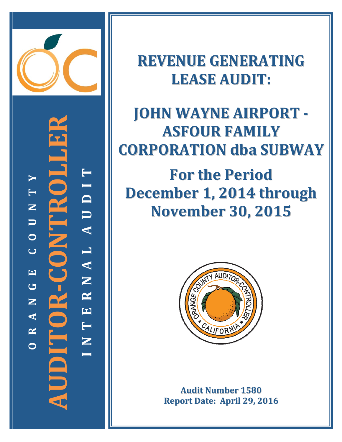

**‐CONTROLLER** UDITOR-CONTROL **TYI T D N U U A O L C A EN G R AUDITOR N E A T R N OI**

**REVENUE GENERATING LEASE AUDIT:**

# **JOHN WAYNE AIRPORT ‐ ASFOUR FAMILY CORPORATION dba SUBWAY**

**For the Period December 1, 2014 through November 30, 2015**



**Audit Number 1580 Report Date: April 29, 2016**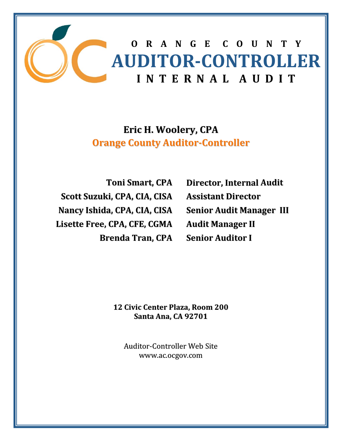

# **Eric H. Woolery, CPA Orange County Auditor‐Controller**

**Toni Smart, CPA Scott Suzuki, CPA, CIA, CISA Nancy Ishida, CPA, CIA, CISA Lisette Free, CPA, CFE, CGMA Brenda Tran, CPA**

**Director, Internal Audit Assistant Director Senior Audit Manager III Audit Manager II Senior Auditor I**

**12 Civic Center Plaza, Room 200 Santa Ana, CA 92701**

Auditor‐Controller Web Site www.ac.ocgov.com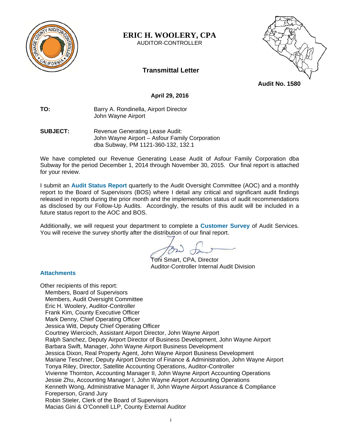

**ERIC H. WOOLERY, CPA** 

AUDITOR-CONTROLLER



**Transmittal Letter** 

# **Audit No. 1580**

#### **April 29, 2016**

**TO:** Barry A. Rondinella, Airport Director John Wayne Airport

**SUBJECT:** Revenue Generating Lease Audit: John Wayne Airport – Asfour Family Corporation dba Subway, PM 1121-360-132, 132.1

We have completed our Revenue Generating Lease Audit of Asfour Family Corporation dba Subway for the period December 1, 2014 through November 30, 2015. Our final report is attached for your review.

I submit an **Audit Status Report** quarterly to the Audit Oversight Committee (AOC) and a monthly report to the Board of Supervisors (BOS) where I detail any critical and significant audit findings released in reports during the prior month and the implementation status of audit recommendations as disclosed by our Follow-Up Audits. Accordingly, the results of this audit will be included in a future status report to the AOC and BOS.

Additionally, we will request your department to complete a **Customer Survey** of Audit Services. You will receive the survey shortly after the distribution of our final report.

 Toni Smart, CPA, Director Auditor-Controller Internal Audit Division

#### **Attachments**

Other recipients of this report: Members, Board of Supervisors Members, Audit Oversight Committee Eric H. Woolery, Auditor-Controller Frank Kim, County Executive Officer Mark Denny, Chief Operating Officer Jessica Witt, Deputy Chief Operating Officer Courtney Wiercioch, Assistant Airport Director, John Wayne Airport Ralph Sanchez, Deputy Airport Director of Business Development, John Wayne Airport Barbara Swift, Manager, John Wayne Airport Business Development Jessica Dixon, Real Property Agent, John Wayne Airport Business Development Mariane Teschner, Deputy Airport Director of Finance & Administration, John Wayne Airport Tonya Riley, Director, Satellite Accounting Operations, Auditor-Controller Vivienne Thornton, Accounting Manager II, John Wayne Airport Accounting Operations Jessie Zhu, Accounting Manager I, John Wayne Airport Accounting Operations Kenneth Wong, Administrative Manager II, John Wayne Airport Assurance & Compliance Foreperson, Grand Jury Robin Stieler, Clerk of the Board of Supervisors Macias Gini & O'Connell LLP, County External Auditor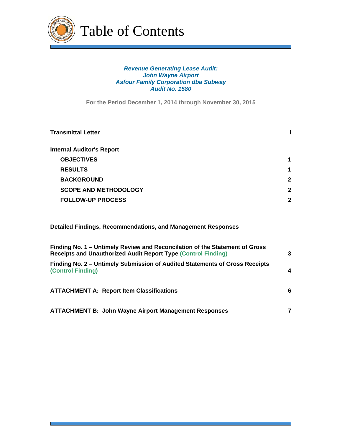

#### *Revenue Generating Lease Audit: John Wayne Airport Asfour Family Corporation dba Subway Audit No. 1580*

**For the Period December 1, 2014 through November 30, 2015**

| Transmittal Letter               |              |
|----------------------------------|--------------|
| <b>Internal Auditor's Report</b> |              |
| <b>OBJECTIVES</b>                | 1            |
| <b>RESULTS</b>                   | 1            |
| <b>BACKGROUND</b>                | $\mathbf{2}$ |
| <b>SCOPE AND METHODOLOGY</b>     | $\mathbf{2}$ |
| <b>FOLLOW-UP PROCESS</b>         | 2            |
|                                  |              |

**Detailed Findings, Recommendations, and Management Responses** 

| Finding No. 1 – Untimely Review and Reconcilation of the Statement of Gross<br><b>Receipts and Unauthorized Audit Report Type (Control Finding)</b> | 3 |
|-----------------------------------------------------------------------------------------------------------------------------------------------------|---|
| Finding No. 2 – Untimely Submission of Audited Statements of Gross Receipts<br><b>(Control Finding)</b>                                             | 4 |
| <b>ATTACHMENT A: Report Item Classifications</b>                                                                                                    | 6 |
| <b>ATTACHMENT B: John Wayne Airport Management Responses</b>                                                                                        |   |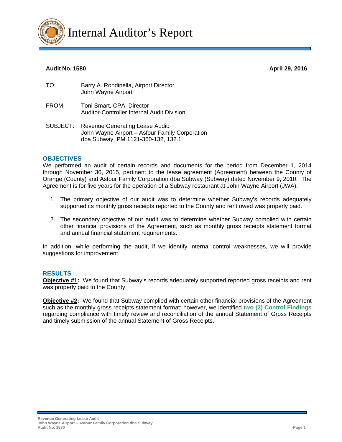

#### **Audit No. 1580 April 29, 2016**

| TO: | Barry A. Rondinella, Airport Director |
|-----|---------------------------------------|
|     | John Wayne Airport                    |
|     |                                       |

- FROM: Toni Smart, CPA, Director Auditor-Controller Internal Audit Division
- SUBJECT: Revenue Generating Lease Audit: John Wayne Airport – Asfour Family Corporation dba Subway, PM 1121-360-132, 132.1

#### **OBJECTIVES**

We performed an audit of certain records and documents for the period from December 1, 2014 through November 30, 2015, pertinent to the lease agreement (Agreement) between the County of Orange (County) and Asfour Family Corporation dba Subway (Subway) dated November 9, 2010. The Agreement is for five years for the operation of a Subway restaurant at John Wayne Airport (JWA).

- 1. The primary objective of our audit was to determine whether Subway's records adequately supported its monthly gross receipts reported to the County and rent owed was properly paid.
- 2. The secondary objective of our audit was to determine whether Subway complied with certain other financial provisions of the Agreement, such as monthly gross receipts statement format and annual financial statement requirements.

In addition, while performing the audit, if we identify internal control weaknesses, we will provide suggestions for improvement.

#### **RESULTS**

**Objective #1:** We found that Subway's records adequately supported reported gross receipts and rent was properly paid to the County.

**Objective #2:** We found that Subway complied with certain other financial provisions of the Agreement such as the monthly gross receipts statement format; however, we identified **two (2) Control Findings** regarding compliance with timely review and reconciliation of the annual Statement of Gross Receipts and timely submission of the annual Statement of Gross Receipts.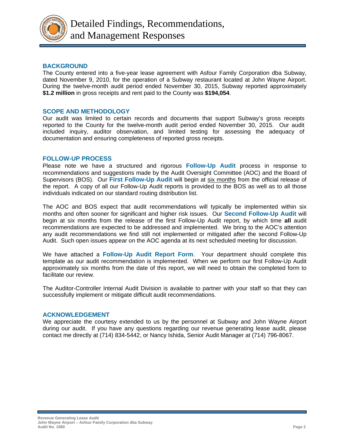

#### **BACKGROUND**

The County entered into a five-year lease agreement with Asfour Family Corporation dba Subway, dated November 9, 2010, for the operation of a Subway restaurant located at John Wayne Airport. During the twelve-month audit period ended November 30, 2015, Subway reported approximately **\$1.2 million** in gross receipts and rent paid to the County was **\$194,054**.

#### **SCOPE AND METHODOLOGY**

Our audit was limited to certain records and documents that support Subway's gross receipts reported to the County for the twelve-month audit period ended November 30, 2015. Our audit included inquiry, auditor observation, and limited testing for assessing the adequacy of documentation and ensuring completeness of reported gross receipts.

#### **FOLLOW-UP PROCESS**

Please note we have a structured and rigorous **Follow-Up Audit** process in response to recommendations and suggestions made by the Audit Oversight Committee (AOC) and the Board of Supervisors (BOS). Our **First Follow-Up Audit** will begin at six months from the official release of the report. A copy of all our Follow-Up Audit reports is provided to the BOS as well as to all those individuals indicated on our standard routing distribution list.

The AOC and BOS expect that audit recommendations will typically be implemented within six months and often sooner for significant and higher risk issues. Our **Second Follow-Up Audit** will begin at six months from the release of the first Follow-Up Audit report, by which time **all** audit recommendations are expected to be addressed and implemented. We bring to the AOC's attention any audit recommendations we find still not implemented or mitigated after the second Follow-Up Audit. Such open issues appear on the AOC agenda at its next scheduled meeting for discussion.

We have attached a **Follow-Up Audit Report Form**. Your department should complete this template as our audit recommendation is implemented. When we perform our first Follow-Up Audit approximately six months from the date of this report, we will need to obtain the completed form to facilitate our review.

The Auditor-Controller Internal Audit Division is available to partner with your staff so that they can successfully implement or mitigate difficult audit recommendations.

#### **ACKNOWLEDGEMENT**

We appreciate the courtesy extended to us by the personnel at Subway and John Wayne Airport during our audit. If you have any questions regarding our revenue generating lease audit, please contact me directly at (714) 834-5442, or Nancy Ishida, Senior Audit Manager at (714) 796-8067.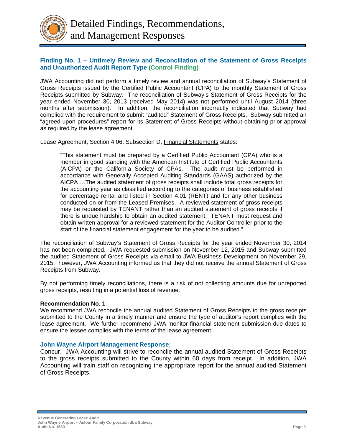

#### **Finding No. 1 – Untimely Review and Reconciliation of the Statement of Gross Receipts and Unauthorized Audit Report Type (Control Finding)**

JWA Accounting did not perform a timely review and annual reconciliation of Subway's Statement of Gross Receipts issued by the Certified Public Accountant (CPA) to the monthly Statement of Gross Receipts submitted by Subway. The reconciliation of Subway's Statement of Gross Receipts for the year ended November 30, 2013 (received May 2014) was not performed until August 2014 (three months after submission). In addition, the reconciliation incorrectly indicated that Subway had complied with the requirement to submit "audited" Statement of Gross Receipts. Subway submitted an "agreed-upon procedures" report for its Statement of Gross Receipts without obtaining prior approval as required by the lease agreement.

Lease Agreement, Section 4.06, Subsection D, Financial Statements states:

"This statement must be prepared by a Certified Public Accountant (CPA) who is a member in good standing with the American Institute of Certified Public Accountants (AICPA) or the California Society of CPAs. The audit must be performed in accordance with Generally Accepted Auditing Standards (GAAS) authorized by the AICPA….The audited statement of gross receipts shall include total gross receipts for the accounting year as classified according to the categories of business established for percentage rental and listed in Section 4.01 (RENT) and for any other business conducted on or from the Leased Premises. A reviewed statement of gross receipts may be requested by TENANT rather than an audited statement of gross receipts if there is undue hardship to obtain an audited statement. TENANT must request and obtain written approval for a reviewed statement for the Auditor-Controller prior to the start of the financial statement engagement for the year to be audited."

The reconciliation of Subway's Statement of Gross Receipts for the year ended November 30, 2014 has not been completed. JWA requested submission on November 12, 2015 and Subway submitted the audited Statement of Gross Receipts via email to JWA Business Development on November 29, 2015; however, JWA Accounting informed us that they did not receive the annual Statement of Gross Receipts from Subway.

By not performing timely reconciliations, there is a risk of not collecting amounts due for unreported gross receipts, resulting in a potential loss of revenue.

#### **Recommendation No. 1**:

We recommend JWA reconcile the annual audited Statement of Gross Receipts to the gross receipts submitted to the County in a timely manner and ensure the type of auditor's report complies with the lease agreement. We further recommend JWA monitor financial statement submission due dates to ensure the lessee complies with the terms of the lease agreement.

#### **John Wayne Airport Management Response:**

Concur. JWA Accounting will strive to reconcile the annual audited Statement of Gross Receipts to the gross receipts submitted to the County within 60 days from receipt. In addition, JWA Accounting will train staff on recognizing the appropriate report for the annual audited Statement of Gross Receipts.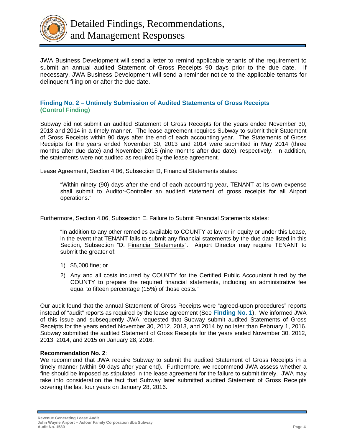

JWA Business Development will send a letter to remind applicable tenants of the requirement to submit an annual audited Statement of Gross Receipts 90 days prior to the due date. If necessary, JWA Business Development will send a reminder notice to the applicable tenants for delinquent filing on or after the due date.

#### **Finding No. 2 – Untimely Submission of Audited Statements of Gross Receipts (Control Finding)**

Subway did not submit an audited Statement of Gross Receipts for the years ended November 30, 2013 and 2014 in a timely manner. The lease agreement requires Subway to submit their Statement of Gross Receipts within 90 days after the end of each accounting year. The Statements of Gross Receipts for the years ended November 30, 2013 and 2014 were submitted in May 2014 (three months after due date) and November 2015 (nine months after due date), respectively. In addition, the statements were not audited as required by the lease agreement.

Lease Agreement, Section 4.06, Subsection D, Financial Statements states:

"Within ninety (90) days after the end of each accounting year, TENANT at its own expense shall submit to Auditor-Controller an audited statement of gross receipts for all Airport operations."

Furthermore, Section 4.06, Subsection E. Failure to Submit Financial Statements states:

"In addition to any other remedies available to COUNTY at law or in equity or under this Lease, in the event that TENANT fails to submit any financial statements by the due date listed in this Section, Subsection "D. Financial Statements". Airport Director may require TENANT to submit the greater of:

- 1) \$5,000 fine; or
- 2) Any and all costs incurred by COUNTY for the Certified Public Accountant hired by the COUNTY to prepare the required financial statements, including an administrative fee equal to fifteen percentage (15%) of those costs."

Our audit found that the annual Statement of Gross Receipts were "agreed-upon procedures" reports instead of "audit" reports as required by the lease agreement (See **Finding No. 1**). We informed JWA of this issue and subsequently JWA requested that Subway submit audited Statements of Gross Receipts for the years ended November 30, 2012, 2013, and 2014 by no later than February 1, 2016. Subway submitted the audited Statement of Gross Receipts for the years ended November 30, 2012, 2013, 2014, and 2015 on January 28, 2016.

#### **Recommendation No. 2**:

We recommend that JWA require Subway to submit the audited Statement of Gross Receipts in a timely manner (within 90 days after year end). Furthermore, we recommend JWA assess whether a fine should be imposed as stipulated in the lease agreement for the failure to submit timely. JWA may take into consideration the fact that Subway later submitted audited Statement of Gross Receipts covering the last four years on January 28, 2016.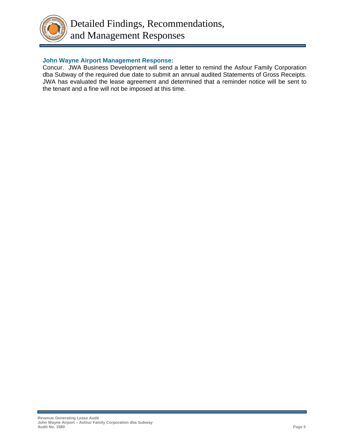

#### **John Wayne Airport Management Response:**

Concur. JWA Business Development will send a letter to remind the Asfour Family Corporation dba Subway of the required due date to submit an annual audited Statements of Gross Receipts. JWA has evaluated the lease agreement and determined that a reminder notice will be sent to the tenant and a fine will not be imposed at this time.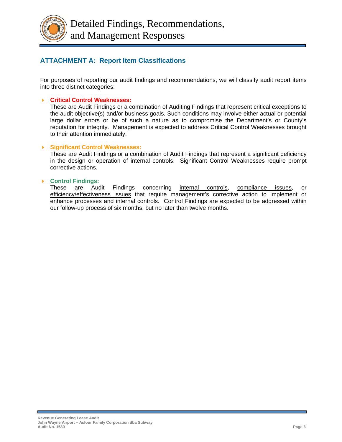

# **ATTACHMENT A: Report Item Classifications**

For purposes of reporting our audit findings and recommendations, we will classify audit report items into three distinct categories:

#### **Critical Control Weaknesses:**

These are Audit Findings or a combination of Auditing Findings that represent critical exceptions to the audit objective(s) and/or business goals. Such conditions may involve either actual or potential large dollar errors or be of such a nature as to compromise the Department's or County's reputation for integrity. Management is expected to address Critical Control Weaknesses brought to their attention immediately.

#### **Significant Control Weaknesses:**

These are Audit Findings or a combination of Audit Findings that represent a significant deficiency in the design or operation of internal controls. Significant Control Weaknesses require prompt corrective actions.

#### **Control Findings:**

These are Audit Findings concerning internal controls, compliance issues, or efficiency/effectiveness issues that require management's corrective action to implement or enhance processes and internal controls. Control Findings are expected to be addressed within our follow-up process of six months, but no later than twelve months.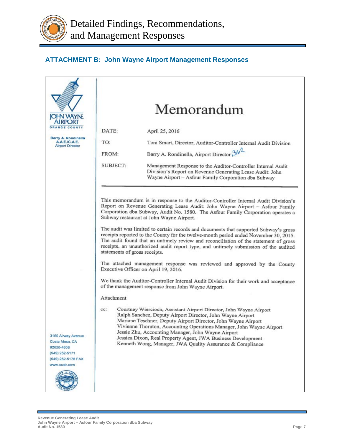

# **ATTACHMENT B: John Wayne Airport Management Responses**